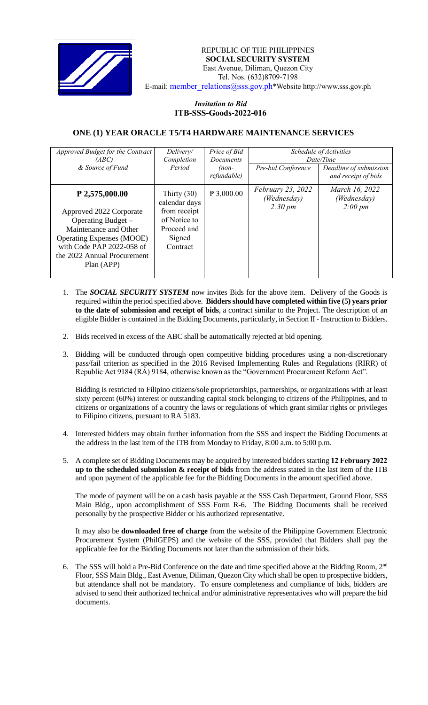

REPUBLIC OF THE PHILIPPINES  **SOCIAL SECURITY SYSTEM** East Avenue, Diliman, Quezon City Tel. Nos. (632)8709-7198 E-mail: member\_relations@sss.gov.ph\*Website http://www.sss.gov.ph

## *Invitation to Bid*  **ITB-SSS-Goods-2022-016**

## **ONE (1) YEAR ORACLE T5/T4 HARDWARE MAINTENANCE SERVICES**

| Approved Budget for the Contract<br>(ABC) | Delivery/<br>Completion        | Price of Bid<br><b>Documents</b> | Schedule of Activities<br>Date/Time                     |                               |
|-------------------------------------------|--------------------------------|----------------------------------|---------------------------------------------------------|-------------------------------|
|                                           |                                |                                  |                                                         |                               |
| & Source of Fund                          | Period                         | $(non-$                          | Pre-bid Conference                                      | Deadline of submission        |
|                                           |                                | refundable)                      |                                                         | and receipt of bids           |
| $P$ 2,575,000.00                          | Thirty $(30)$<br>calendar days | $P$ 3,000.00                     | February 23, 2022<br>(Wednesday)<br>$2:30 \, \text{pm}$ | March 16, 2022<br>(Wednesday) |
| Approved 2022 Corporate                   | from receipt                   |                                  |                                                         | $2:00 \, \text{pm}$           |
| Operating Budget –                        | of Notice to                   |                                  |                                                         |                               |
| Maintenance and Other                     | Proceed and                    |                                  |                                                         |                               |
| <b>Operating Expenses (MOOE)</b>          | Signed                         |                                  |                                                         |                               |
| with Code PAP 2022-058 of                 | Contract                       |                                  |                                                         |                               |
| the 2022 Annual Procurement               |                                |                                  |                                                         |                               |
| Plan (APP)                                |                                |                                  |                                                         |                               |
|                                           |                                |                                  |                                                         |                               |

- 1. The *SOCIAL SECURITY SYSTEM* now invites Bids for the above item. Delivery of the Goods is required within the period specified above. **Bidders should have completed within five (5) years prior to the date of submission and receipt of bids**, a contract similar to the Project. The description of an eligible Bidder is contained in the Bidding Documents, particularly, in Section II - Instruction to Bidders.
- 2. Bids received in excess of the ABC shall be automatically rejected at bid opening.
- 3. Bidding will be conducted through open competitive bidding procedures using a non-discretionary pass/fail criterion as specified in the 2016 Revised Implementing Rules and Regulations (RIRR) of Republic Act 9184 (RA) 9184, otherwise known as the "Government Procurement Reform Act".

Bidding is restricted to Filipino citizens/sole proprietorships, partnerships, or organizations with at least sixty percent (60%) interest or outstanding capital stock belonging to citizens of the Philippines, and to citizens or organizations of a country the laws or regulations of which grant similar rights or privileges to Filipino citizens, pursuant to RA 5183.

- 4. Interested bidders may obtain further information from the SSS and inspect the Bidding Documents at the address in the last item of the ITB from Monday to Friday, 8:00 a.m. to 5:00 p.m.
- 5. A complete set of Bidding Documents may be acquired by interested bidders starting **12 February 2022 up to the scheduled submission & receipt of bids** from the address stated in the last item of the ITB and upon payment of the applicable fee for the Bidding Documents in the amount specified above.

The mode of payment will be on a cash basis payable at the SSS Cash Department, Ground Floor, SSS Main Bldg., upon accomplishment of SSS Form R-6. The Bidding Documents shall be received personally by the prospective Bidder or his authorized representative.

It may also be **downloaded free of charge** from the website of the Philippine Government Electronic Procurement System (PhilGEPS) and the website of the SSS*,* provided that Bidders shall pay the applicable fee for the Bidding Documents not later than the submission of their bids.

6. The SSS will hold a Pre-Bid Conference on the date and time specified above at the Bidding Room, 2<sup>nd</sup> Floor, SSS Main Bldg., East Avenue, Diliman, Quezon City which shall be open to prospective bidders, but attendance shall not be mandatory. To ensure completeness and compliance of bids, bidders are advised to send their authorized technical and/or administrative representatives who will prepare the bid documents.